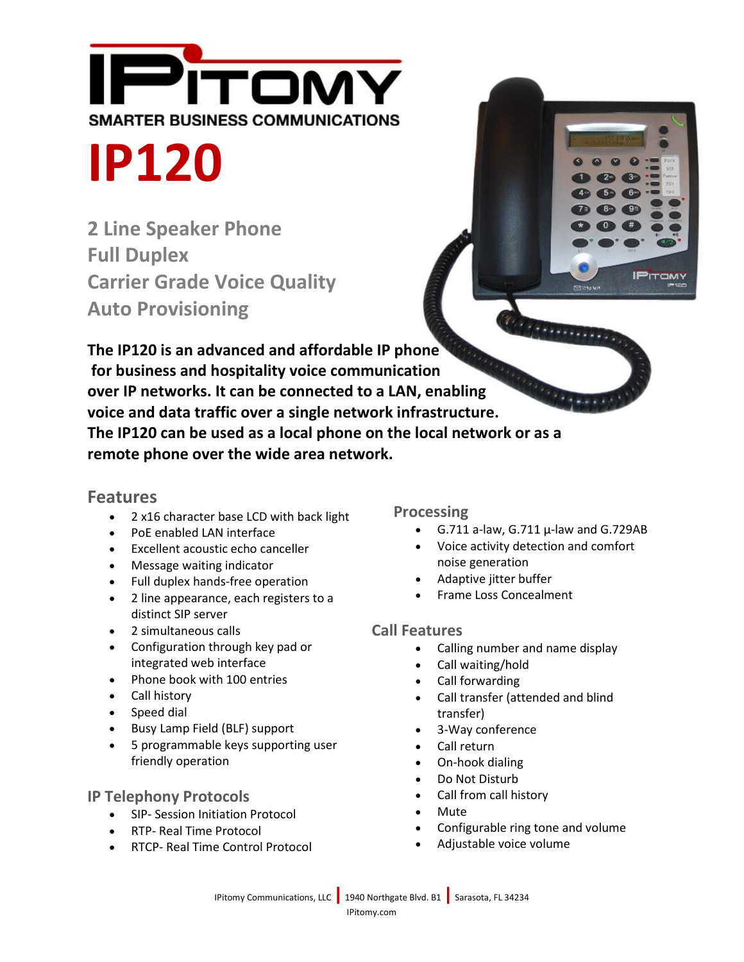

# **IP120**

**2 Line Speaker Phone Full Duplex Carrier Grade Voice Quality Auto Provisioning** 

**The IP120 is an advanced and affordable IP phone for business and hospitality voice communication over IP networks. It can be connected to a LAN, enabling voice and data traffic over a single network infrastructure. The IP120 can be used as a local phone on the local network or as a remote phone over the wide area network.** 

### **Features**

- 2 x16 character base LCD with back light
- PoE enabled LAN interface
- Excellent acoustic echo canceller
- Message waiting indicator
- Full duplex hands-free operation
- 2 line appearance, each registers to a distinct SIP server
- 2 simultaneous calls
- Configuration through key pad or integrated web interface
- Phone book with 100 entries
- Call history
- Speed dial
- Busy Lamp Field (BLF) support
- 5 programmable keys supporting user friendly operation

## **IP Telephony Protocols**

- SIP- Session Initiation Protocol
- RTP- Real Time Protocol
- RTCP- Real Time Control Protocol

**Processing** 

- G.711 a-law, G.711 µ-law and G.729AB
- Voice activity detection and comfort noise generation
- Adaptive jitter buffer
- Frame Loss Concealment

### **Call Features**

- Calling number and name display
- Call waiting/hold
- Call forwarding
- Call transfer (attended and blind transfer)
- 3-Way conference
- Call return
- On-hook dialing
- Do Not Disturb
- Call from call history
- Mute
- Configurable ring tone and volume
- Adjustable voice volume